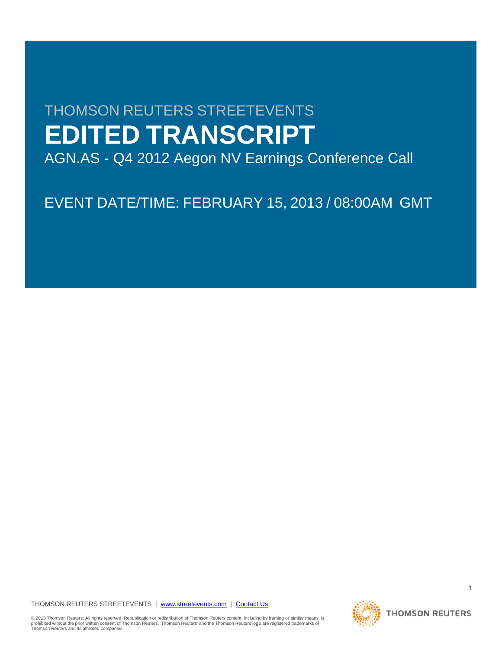# THOMSON REUTERS STREETEVENTS **EDITED TRANSCRIPT**

AGN.AS - Q4 2012 Aegon NV Earnings Conference Call

EVENT DATE/TIME: FEBRUARY 15, 2013 / 08:00AM GMT

THOMSON REUTERS STREETEVENTS | www.streetevents.com | Contact Us

© 2013 Thomson Reuters. All rights reserved. Republication or redistribution of Thomson Reuters content, including by framing or similar means, is<br>prohibited without the prior written consent of Thomson Reuters. 'Thomson

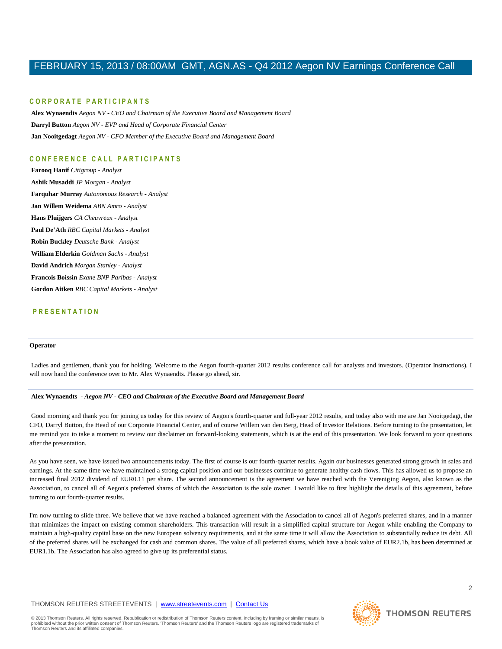#### **C O R P O R A T E P A R T I C I P A N T S**

**Alex Wynaendts** *Aegon NV - CEO and Chairman of the Executive Board and Management Board* **Darryl Button** *Aegon NV - EVP and Head of Corporate Financial Center* **Jan Nooitgedagt** *Aegon NV - CFO Member of the Executive Board and Management Board*

### **C O N F E R E N C E C A L L P A R T I C I P A N T S**

**Farooq Hanif** *Citigroup - Analyst* **Ashik Musaddi** *JP Morgan - Analyst* **Farquhar Murray** *Autonomous Research - Analyst* **Jan Willem Weidema** *ABN Amro - Analyst* **Hans Pluijgers** *CA Cheuvreux - Analyst* **Paul De'Ath** *RBC Capital Markets - Analyst* **Robin Buckley** *Deutsche Bank - Analyst* **William Elderkin** *Goldman Sachs - Analyst* **David Andrich** *Morgan Stanley - Analyst* **Francois Boissin** *Exane BNP Paribas - Analyst* **Gordon Aitken** *RBC Capital Markets - Analyst*

### **P R E S E N T A T I O N**

#### **Operator**

Ladies and gentlemen, thank you for holding. Welcome to the Aegon fourth-quarter 2012 results conference call for analysts and investors. (Operator Instructions). I will now hand the conference over to Mr. Alex Wynaendts. Please go ahead, sir.

#### **Alex Wynaendts** *- Aegon NV - CEO and Chairman of the Executive Board and Management Board*

Good morning and thank you for joining us today for this review of Aegon's fourth-quarter and full-year 2012 results, and today also with me are Jan Nooitgedagt, the CFO, Darryl Button, the Head of our Corporate Financial Center, and of course Willem van den Berg, Head of Investor Relations. Before turning to the presentation, let me remind you to take a moment to review our disclaimer on forward-looking statements, which is at the end of this presentation. We look forward to your questions after the presentation.

As you have seen, we have issued two announcements today. The first of course is our fourth-quarter results. Again our businesses generated strong growth in sales and earnings. At the same time we have maintained a strong capital position and our businesses continue to generate healthy cash flows. This has allowed us to propose an increased final 2012 dividend of EUR0.11 per share. The second announcement is the agreement we have reached with the Vereniging Aegon, also known as the Association, to cancel all of Aegon's preferred shares of which the Association is the sole owner. I would like to first highlight the details of this agreement, before turning to our fourth-quarter results.

I'm now turning to slide three. We believe that we have reached a balanced agreement with the Association to cancel all of Aegon's preferred shares, and in a manner that minimizes the impact on existing common shareholders. This transaction will result in a simplified capital structure for Aegon while enabling the Company to maintain a high-quality capital base on the new European solvency requirements, and at the same time it will allow the Association to substantially reduce its debt. All of the preferred shares will be exchanged for cash and common shares. The value of all preferred shares, which have a book value of EUR2.1b, has been determined at EUR1.1b. The Association has also agreed to give up its preferential status.

### THOMSON REUTERS STREETEVENTS | www.streetevents.com | Contact Us

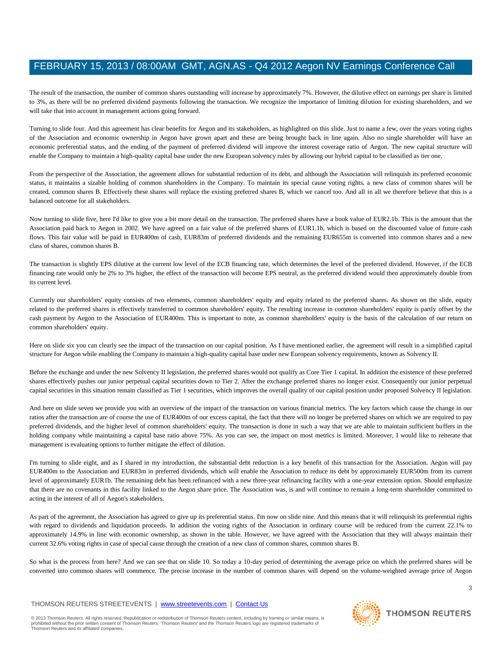The result of the transaction, the number of common shares outstanding will increase by approximately 7%. However, the dilutive effect on earnings per share is limited to 3%, as there will be no preferred dividend payments following the transaction. We recognize the importance of limiting dilution for existing shareholders, and we will take that into account in management actions going forward.

Turning to slide four. And this agreement has clear benefits for Aegon and its stakeholders, as highlighted on this slide. Just to name a few, over the years voting rights of the Association and economic ownership in Aegon have grown apart and these are being brought back in line again. Also no single shareholder will have an economic preferential status, and the ending of the payment of preferred dividend will improve the interest coverage ratio of Aegon. The new capital structure will enable the Company to maintain a high-quality capital base under the new European solvency rules by allowing our hybrid capital to be classified as tier one.

From the perspective of the Association, the agreement allows for substantial reduction of its debt, and although the Association will relinquish its preferred economic status, it maintains a sizable holding of common shareholders in the Company. To maintain its special cause voting rights, a new class of common shares will be created, common shares B. Effectively these shares will replace the existing preferred shares B, which we cancel too. And all in all we therefore believe that this is a balanced outcome for all stakeholders.

Now turning to slide five, here I'd like to give you a bit more detail on the transaction. The preferred shares have a book value of EUR2.1b. This is the amount that the Association paid back to Aegon in 2002. We have agreed on a fair value of the preferred shares of EUR1.1b, which is based on the discounted value of future cash flows. This fair value will be paid in EUR400m of cash, EUR83m of preferred dividends and the remaining EUR655m is converted into common shares and a new class of shares, common shares B.

The transaction is slightly EPS dilutive at the current low level of the ECB financing rate, which determines the level of the preferred dividend. However, if the ECB financing rate would only be 2% to 3% higher, the effect of the transaction will become EPS neutral, as the preferred dividend would then approximately double from its current level.

Currently our shareholders' equity consists of two elements, common shareholders' equity and equity related to the preferred shares. As shown on the slide, equity related to the preferred shares is effectively transferred to common shareholders' equity. The resulting increase in common shareholders' equity is partly offset by the cash payment by Aegon to the Association of EUR400m. This is important to note, as common shareholders' equity is the basis of the calculation of our return on common shareholders' equity.

Here on slide six you can clearly see the impact of the transaction on our capital position. As I have mentioned earlier, the agreement will result in a simplified capital structure for Aegon while enabling the Company to maintain a high-quality capital base under new European solvency requirements, known as Solvency II.

Before the exchange and under the new Solvency II legislation, the preferred shares would not qualify as Core Tier 1 capital. In addition the existence of these preferred shares effectively pushes our junior perpetual capital securities down to Tier 2. After the exchange preferred shares no longer exist. Consequently our junior perpetual capital securities in this situation remain classified as Tier 1 securities, which improves the overall quality of our capital position under proposed Solvency II legislation.

And here on slide seven we provide you with an overview of the impact of the transaction on various financial metrics. The key factors which cause the change in our ratios after the transaction are of course the use of EUR400m of our excess capital, the fact that there will no longer be preferred shares on which we are required to pay preferred dividends, and the higher level of common shareholders' equity. The transaction is done in such a way that we are able to maintain sufficient buffers in the holding company while maintaining a capital base ratio above 75%. As you can see, the impact on most metrics is limited. Moreover, I would like to reiterate that management is evaluating options to further mitigate the effect of dilution.

I'm turning to slide eight, and as I shared in my introduction, the substantial debt reduction is a key benefit of this transaction for the Association. Aegon will pay EUR400m to the Association and EUR83m in preferred dividends, which will enable the Association to reduce its debt by approximately EUR500m from its current level of approximately EUR1b. The remaining debt has been refinanced with a new three-year refinancing facility with a one-year extension option. Should emphasize that there are no covenants in this facility linked to the Aegon share price. The Association was, is and will continue to remain a long-term shareholder committed to acting in the interest of all of Aegon's stakeholders.

As part of the agreement, the Association has agreed to give up its preferential status. I'm now on slide nine. And this means that it will relinquish its preferential rights with regard to dividends and liquidation proceeds. In addition the voting rights of the Association in ordinary course will be reduced from the current 22.1% to approximately 14.9% in line with economic ownership, as shown in the table. However, we have agreed with the Association that they will always maintain their current 32.6% voting rights in case of special cause through the creation of a new class of common shares, common shares B.

So what is the process from here? And we can see that on slide 10. So today a 10-day period of determining the average price on which the preferred shares will be converted into common shares will commence. The precise increase in the number of common shares will depend on the volume-weighted average price of Aegon

### THOMSON REUTERS STREETEVENTS | www.streetevents.com | Contact Us

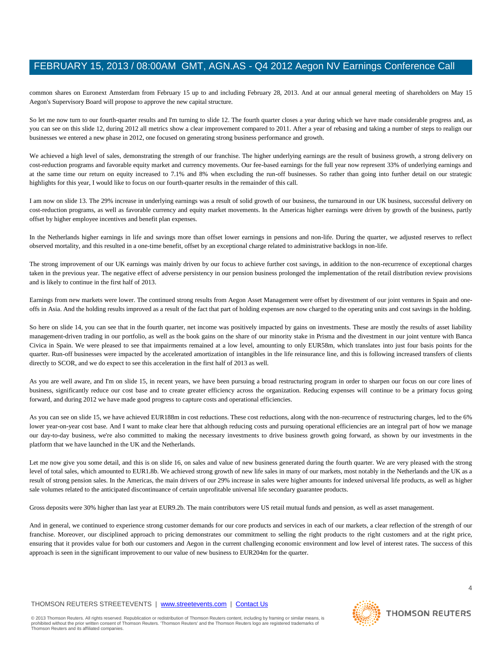common shares on Euronext Amsterdam from February 15 up to and including February 28, 2013. And at our annual general meeting of shareholders on May 15 Aegon's Supervisory Board will propose to approve the new capital structure.

So let me now turn to our fourth-quarter results and I'm turning to slide 12. The fourth quarter closes a year during which we have made considerable progress and, as you can see on this slide 12, during 2012 all metrics show a clear improvement compared to 2011. After a year of rebasing and taking a number of steps to realign our businesses we entered a new phase in 2012, one focused on generating strong business performance and growth.

We achieved a high level of sales, demonstrating the strength of our franchise. The higher underlying earnings are the result of business growth, a strong delivery on cost-reduction programs and favorable equity market and currency movements. Our fee-based earnings for the full year now represent 33% of underlying earnings and at the same time our return on equity increased to 7.1% and 8% when excluding the run-off businesses. So rather than going into further detail on our strategic highlights for this year, I would like to focus on our fourth-quarter results in the remainder of this call.

I am now on slide 13. The 29% increase in underlying earnings was a result of solid growth of our business, the turnaround in our UK business, successful delivery on cost-reduction programs, as well as favorable currency and equity market movements. In the Americas higher earnings were driven by growth of the business, partly offset by higher employee incentives and benefit plan expenses.

In the Netherlands higher earnings in life and savings more than offset lower earnings in pensions and non-life. During the quarter, we adjusted reserves to reflect observed mortality, and this resulted in a one-time benefit, offset by an exceptional charge related to administrative backlogs in non-life.

The strong improvement of our UK earnings was mainly driven by our focus to achieve further cost savings, in addition to the non-recurrence of exceptional charges taken in the previous year. The negative effect of adverse persistency in our pension business prolonged the implementation of the retail distribution review provisions and is likely to continue in the first half of 2013.

Earnings from new markets were lower. The continued strong results from Aegon Asset Management were offset by divestment of our joint ventures in Spain and oneoffs in Asia. And the holding results improved as a result of the fact that part of holding expenses are now charged to the operating units and cost savings in the holding.

So here on slide 14, you can see that in the fourth quarter, net income was positively impacted by gains on investments. These are mostly the results of asset liability management-driven trading in our portfolio, as well as the book gains on the share of our minority stake in Prisma and the divestment in our joint venture with Banca Civica in Spain. We were pleased to see that impairments remained at a low level, amounting to only EUR58m, which translates into just four basis points for the quarter. Run-off businesses were impacted by the accelerated amortization of intangibles in the life reinsurance line, and this is following increased transfers of clients directly to SCOR, and we do expect to see this acceleration in the first half of 2013 as well.

As you are well aware, and I'm on slide 15, in recent years, we have been pursuing a broad restructuring program in order to sharpen our focus on our core lines of business, significantly reduce our cost base and to create greater efficiency across the organization. Reducing expenses will continue to be a primary focus going forward, and during 2012 we have made good progress to capture costs and operational efficiencies.

As you can see on slide 15, we have achieved EUR188m in cost reductions. These cost reductions, along with the non-recurrence of restructuring charges, led to the 6% lower year-on-year cost base. And I want to make clear here that although reducing costs and pursuing operational efficiencies are an integral part of how we manage our day-to-day business, we're also committed to making the necessary investments to drive business growth going forward, as shown by our investments in the platform that we have launched in the UK and the Netherlands.

Let me now give you some detail, and this is on slide 16, on sales and value of new business generated during the fourth quarter. We are very pleased with the strong level of total sales, which amounted to EUR1.8b. We achieved strong growth of new life sales in many of our markets, most notably in the Netherlands and the UK as a result of strong pension sales. In the Americas, the main drivers of our 29% increase in sales were higher amounts for indexed universal life products, as well as higher sale volumes related to the anticipated discontinuance of certain unprofitable universal life secondary guarantee products.

Gross deposits were 30% higher than last year at EUR9.2b. The main contributors were US retail mutual funds and pension, as well as asset management.

And in general, we continued to experience strong customer demands for our core products and services in each of our markets, a clear reflection of the strength of our franchise. Moreover, our disciplined approach to pricing demonstrates our commitment to selling the right products to the right customers and at the right price, ensuring that it provides value for both our customers and Aegon in the current challenging economic environment and low level of interest rates. The success of this approach is seen in the significant improvement to our value of new business to EUR204m for the quarter.

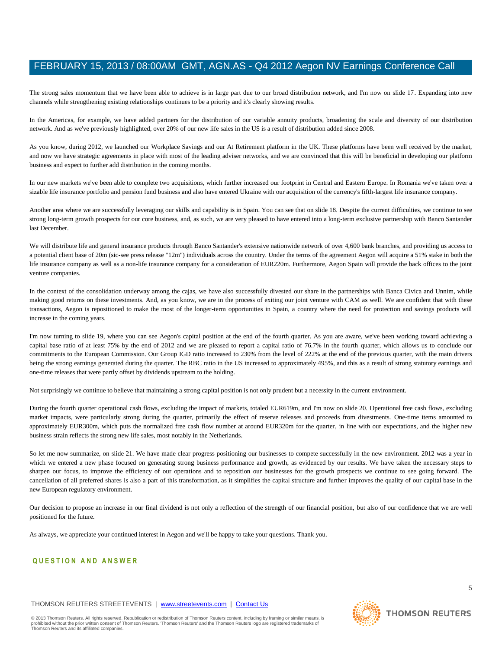The strong sales momentum that we have been able to achieve is in large part due to our broad distribution network, and I'm now on slide 17. Expanding into new channels while strengthening existing relationships continues to be a priority and it's clearly showing results.

In the Americas, for example, we have added partners for the distribution of our variable annuity products, broadening the scale and diversity of our distribution network. And as we've previously highlighted, over 20% of our new life sales in the US is a result of distribution added since 2008.

As you know, during 2012, we launched our Workplace Savings and our At Retirement platform in the UK. These platforms have been well received by the market, and now we have strategic agreements in place with most of the leading adviser networks, and we are convinced that this will be beneficial in developing our platform business and expect to further add distribution in the coming months.

In our new markets we've been able to complete two acquisitions, which further increased our footprint in Central and Eastern Europe. In Romania we've taken over a sizable life insurance portfolio and pension fund business and also have entered Ukraine with our acquisition of the currency's fifth-largest life insurance company.

Another area where we are successfully leveraging our skills and capability is in Spain. You can see that on slide 18. Despite the current difficulties, we continue to see strong long-term growth prospects for our core business, and, as such, we are very pleased to have entered into a long-term exclusive partnership with Banco Santander last December.

We will distribute life and general insurance products through Banco Santander's extensive nationwide network of over 4,600 bank branches, and providing us access to a potential client base of 20m (sic-see press release "12m") individuals across the country. Under the terms of the agreement Aegon will acquire a 51% stake in both the life insurance company as well as a non-life insurance company for a consideration of EUR220m. Furthermore, Aegon Spain will provide the back offices to the joint venture companies.

In the context of the consolidation underway among the cajas, we have also successfully divested our share in the partnerships with Banca Civica and Unnim, while making good returns on these investments. And, as you know, we are in the process of exiting our joint venture with CAM as well. We are confident that with these transactions, Aegon is repositioned to make the most of the longer-term opportunities in Spain, a country where the need for protection and savings products will increase in the coming years.

I'm now turning to slide 19, where you can see Aegon's capital position at the end of the fourth quarter. As you are aware, we've been working toward achieving a capital base ratio of at least 75% by the end of 2012 and we are pleased to report a capital ratio of 76.7% in the fourth quarter, which allows us to conclude our commitments to the European Commission. Our Group IGD ratio increased to 230% from the level of 222% at the end of the previous quarter, with the main drivers being the strong earnings generated during the quarter. The RBC ratio in the US increased to approximately 495%, and this as a result of strong statutory earnings and one-time releases that were partly offset by dividends upstream to the holding.

Not surprisingly we continue to believe that maintaining a strong capital position is not only prudent but a necessity in the current environment.

During the fourth quarter operational cash flows, excluding the impact of markets, totaled EUR619m, and I'm now on slide 20. Operational free cash flows, excluding market impacts, were particularly strong during the quarter, primarily the effect of reserve releases and proceeds from divestments. One-time items amounted to approximately EUR300m, which puts the normalized free cash flow number at around EUR320m for the quarter, in line with our expectations, and the higher new business strain reflects the strong new life sales, most notably in the Netherlands.

So let me now summarize, on slide 21. We have made clear progress positioning our businesses to compete successfully in the new environment. 2012 was a year in which we entered a new phase focused on generating strong business performance and growth, as evidenced by our results. We have taken the necessary steps to sharpen our focus, to improve the efficiency of our operations and to reposition our businesses for the growth prospects we continue to see going forward. The cancellation of all preferred shares is also a part of this transformation, as it simplifies the capital structure and further improves the quality of our capital base in the new European regulatory environment.

Our decision to propose an increase in our final dividend is not only a reflection of the strength of our financial position, but also of our confidence that we are well positioned for the future.

As always, we appreciate your continued interest in Aegon and we'll be happy to take your questions. Thank you.

# **Q U E S T I O N A N D A N S W E R**

### THOMSON REUTERS STREETEVENTS | www.streetevents.com | Contact Us

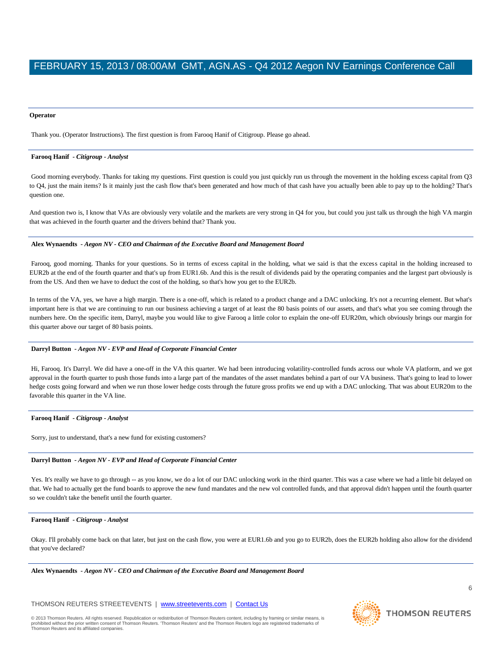#### **Operator**

Thank you. (Operator Instructions). The first question is from Farooq Hanif of Citigroup. Please go ahead.

#### **Farooq Hanif** *- Citigroup - Analyst*

Good morning everybody. Thanks for taking my questions. First question is could you just quickly run us through the movement in the holding excess capital from Q3 to Q4, just the main items? Is it mainly just the cash flow that's been generated and how much of that cash have you actually been able to pay up to the holding? That's question one.

And question two is, I know that VAs are obviously very volatile and the markets are very strong in Q4 for you, but could you just talk us through the high VA margin that was achieved in the fourth quarter and the drivers behind that? Thank you.

#### **Alex Wynaendts** *- Aegon NV - CEO and Chairman of the Executive Board and Management Board*

Farooq, good morning. Thanks for your questions. So in terms of excess capital in the holding, what we said is that the excess capital in the holding increased to EUR2b at the end of the fourth quarter and that's up from EUR1.6b. And this is the result of dividends paid by the operating companies and the largest part obviously is from the US. And then we have to deduct the cost of the holding, so that's how you get to the EUR2b.

In terms of the VA, yes, we have a high margin. There is a one-off, which is related to a product change and a DAC unlocking. It's not a recurring element. But what's important here is that we are continuing to run our business achieving a target of at least the 80 basis points of our assets, and that's what you see coming through the numbers here. On the specific item, Darryl, maybe you would like to give Farooq a little color to explain the one-off EUR20m, which obviously brings our margin for this quarter above our target of 80 basis points.

### **Darryl Button** *- Aegon NV - EVP and Head of Corporate Financial Center*

Hi, Farooq. It's Darryl. We did have a one-off in the VA this quarter. We had been introducing volatility-controlled funds across our whole VA platform, and we got approval in the fourth quarter to push those funds into a large part of the mandates of the asset mandates behind a part of our VA business. That's going to lead to lower hedge costs going forward and when we run those lower hedge costs through the future gross profits we end up with a DAC unlocking. That was about EUR20m to the favorable this quarter in the VA line.

#### **Farooq Hanif** *- Citigroup - Analyst*

Sorry, just to understand, that's a new fund for existing customers?

#### **Darryl Button** *- Aegon NV - EVP and Head of Corporate Financial Center*

Yes. It's really we have to go through -- as you know, we do a lot of our DAC unlocking work in the third quarter. This was a case where we had a little bit delayed on that. We had to actually get the fund boards to approve the new fund mandates and the new vol controlled funds, and that approval didn't happen until the fourth quarter so we couldn't take the benefit until the fourth quarter.

#### **Farooq Hanif** *- Citigroup - Analyst*

Okay. I'll probably come back on that later, but just on the cash flow, you were at EUR1.6b and you go to EUR2b, does the EUR2b holding also allow for the dividend that you've declared?

**Alex Wynaendts** *- Aegon NV - CEO and Chairman of the Executive Board and Management Board* 

THOMSON REUTERS STREETEVENTS | www.streetevents.com | Contact Us

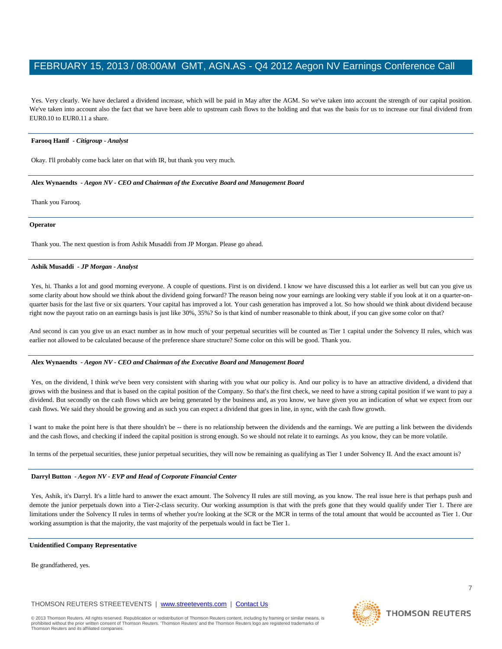Yes. Very clearly. We have declared a dividend increase, which will be paid in May after the AGM. So we've taken into account the strength of our capital position. We've taken into account also the fact that we have been able to upstream cash flows to the holding and that was the basis for us to increase our final dividend from EUR0.10 to EUR0.11 a share.

#### **Farooq Hanif** *- Citigroup - Analyst*

Okay. I'll probably come back later on that with IR, but thank you very much.

**Alex Wynaendts** *- Aegon NV - CEO and Chairman of the Executive Board and Management Board* 

Thank you Farooq.

#### **Operator**

Thank you. The next question is from Ashik Musaddi from JP Morgan. Please go ahead.

#### **Ashik Musaddi** *- JP Morgan - Analyst*

Yes, hi. Thanks a lot and good morning everyone. A couple of questions. First is on dividend. I know we have discussed this a lot earlier as well but can you give us some clarity about how should we think about the dividend going forward? The reason being now your earnings are looking very stable if you look at it on a quarter-onquarter basis for the last five or six quarters. Your capital has improved a lot. Your cash generation has improved a lot. So how should we think about dividend because right now the payout ratio on an earnings basis is just like 30%, 35%? So is that kind of number reasonable to think about, if you can give some color on that?

And second is can you give us an exact number as in how much of your perpetual securities will be counted as Tier 1 capital under the Solvency II rules, which was earlier not allowed to be calculated because of the preference share structure? Some color on this will be good. Thank you.

#### **Alex Wynaendts** *- Aegon NV - CEO and Chairman of the Executive Board and Management Board*

Yes, on the dividend, I think we've been very consistent with sharing with you what our policy is. And our policy is to have an attractive dividend, a dividend that grows with the business and that is based on the capital position of the Company. So that's the first check, we need to have a strong capital position if we want to pay a dividend. But secondly on the cash flows which are being generated by the business and, as you know, we have given you an indication of what we expect from our cash flows. We said they should be growing and as such you can expect a dividend that goes in line, in sync, with the cash flow growth.

I want to make the point here is that there shouldn't be -- there is no relationship between the dividends and the earnings. We are putting a link between the dividends and the cash flows, and checking if indeed the capital position is strong enough. So we should not relate it to earnings. As you know, they can be more volatile.

In terms of the perpetual securities, these junior perpetual securities, they will now be remaining as qualifying as Tier 1 under Solvency II. And the exact amount is?

#### **Darryl Button** *- Aegon NV - EVP and Head of Corporate Financial Center*

Yes, Ashik, it's Darryl. It's a little hard to answer the exact amount. The Solvency II rules are still moving, as you know. The real issue here is that perhaps push and demote the junior perpetuals down into a Tier-2-class security. Our working assumption is that with the prefs gone that they would qualify under Tier 1. There are limitations under the Solvency II rules in terms of whether you're looking at the SCR or the MCR in terms of the total amount that would be accounted as Tier 1. Our working assumption is that the majority, the vast majority of the perpetuals would in fact be Tier 1.

#### **Unidentified Company Representative**

Be grandfathered, yes.

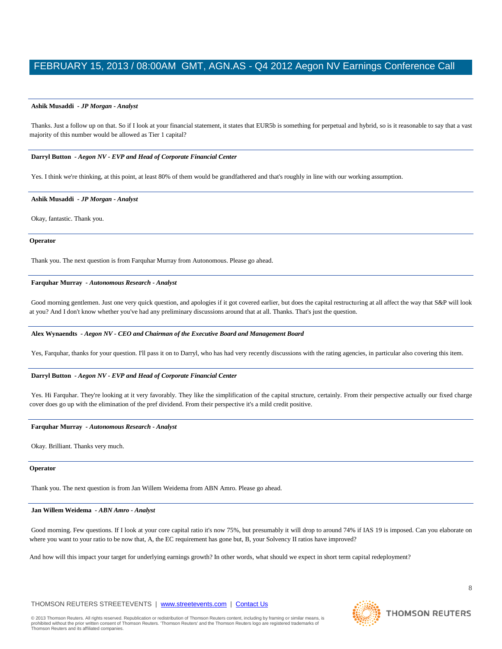#### **Ashik Musaddi** *- JP Morgan - Analyst*

Thanks. Just a follow up on that. So if I look at your financial statement, it states that EUR5b is something for perpetual and hybrid, so is it reasonable to say that a vast majority of this number would be allowed as Tier 1 capital?

#### **Darryl Button** *- Aegon NV - EVP and Head of Corporate Financial Center*

Yes. I think we're thinking, at this point, at least 80% of them would be grandfathered and that's roughly in line with our working assumption.

#### **Ashik Musaddi** *- JP Morgan - Analyst*

Okay, fantastic. Thank you.

#### **Operator**

Thank you. The next question is from Farquhar Murray from Autonomous. Please go ahead.

#### **Farquhar Murray** *- Autonomous Research - Analyst*

Good morning gentlemen. Just one very quick question, and apologies if it got covered earlier, but does the capital restructuring at all affect the way that S&P will look at you? And I don't know whether you've had any preliminary discussions around that at all. Thanks. That's just the question.

#### **Alex Wynaendts** *- Aegon NV - CEO and Chairman of the Executive Board and Management Board*

Yes, Farquhar, thanks for your question. I'll pass it on to Darryl, who has had very recently discussions with the rating agencies, in particular also covering this item.

#### **Darryl Button** *- Aegon NV - EVP and Head of Corporate Financial Center*

Yes. Hi Farquhar. They're looking at it very favorably. They like the simplification of the capital structure, certainly. From their perspective actually our fixed charge cover does go up with the elimination of the pref dividend. From their perspective it's a mild credit positive.

#### **Farquhar Murray** *- Autonomous Research - Analyst*

Okay. Brilliant. Thanks very much.

#### **Operator**

Thank you. The next question is from Jan Willem Weidema from ABN Amro. Please go ahead.

#### **Jan Willem Weidema** *- ABN Amro - Analyst*

Good morning. Few questions. If I look at your core capital ratio it's now 75%, but presumably it will drop to around 74% if IAS 19 is imposed. Can you elaborate on where you want to your ratio to be now that, A, the EC requirement has gone but, B, your Solvency II ratios have improved?

And how will this impact your target for underlying earnings growth? In other words, what should we expect in short term capital redeployment?

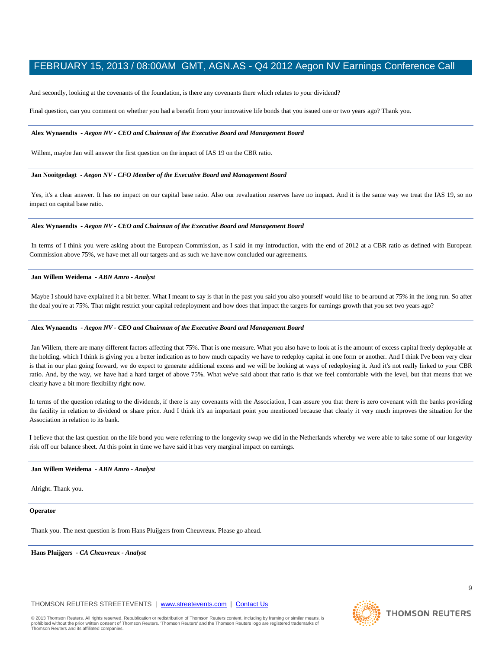And secondly, looking at the covenants of the foundation, is there any covenants there which relates to your dividend?

Final question, can you comment on whether you had a benefit from your innovative life bonds that you issued one or two years ago? Thank you.

#### **Alex Wynaendts** *- Aegon NV - CEO and Chairman of the Executive Board and Management Board*

Willem, maybe Jan will answer the first question on the impact of IAS 19 on the CBR ratio.

#### **Jan Nooitgedagt** *- Aegon NV - CFO Member of the Executive Board and Management Board*

Yes, it's a clear answer. It has no impact on our capital base ratio. Also our revaluation reserves have no impact. And it is the same way we treat the IAS 19, so no impact on capital base ratio.

#### **Alex Wynaendts** *- Aegon NV - CEO and Chairman of the Executive Board and Management Board*

In terms of I think you were asking about the European Commission, as I said in my introduction, with the end of 2012 at a CBR ratio as defined with European Commission above 75%, we have met all our targets and as such we have now concluded our agreements.

#### **Jan Willem Weidema** *- ABN Amro - Analyst*

Maybe I should have explained it a bit better. What I meant to say is that in the past you said you also yourself would like to be around at 75% in the long run. So after the deal you're at 75%. That might restrict your capital redeployment and how does that impact the targets for earnings growth that you set two years ago?

#### **Alex Wynaendts** *- Aegon NV - CEO and Chairman of the Executive Board and Management Board*

Jan Willem, there are many different factors affecting that 75%. That is one measure. What you also have to look at is the amount of excess capital freely deployable at the holding, which I think is giving you a better indication as to how much capacity we have to redeploy capital in one form or another. And I think I've been very clear is that in our plan going forward, we do expect to generate additional excess and we will be looking at ways of redeploying it. And it's not really linked to your CBR ratio. And, by the way, we have had a hard target of above 75%. What we've said about that ratio is that we feel comfortable with the level, but that means that we clearly have a bit more flexibility right now.

In terms of the question relating to the dividends, if there is any covenants with the Association, I can assure you that there is zero covenant with the banks providing the facility in relation to dividend or share price. And I think it's an important point you mentioned because that clearly it very much improves the situation for the Association in relation to its bank.

I believe that the last question on the life bond you were referring to the longevity swap we did in the Netherlands whereby we were able to take some of our longevity risk off our balance sheet. At this point in time we have said it has very marginal impact on earnings.

#### **Jan Willem Weidema** *- ABN Amro - Analyst*

Alright. Thank you.

#### **Operator**

Thank you. The next question is from Hans Pluijgers from Cheuvreux. Please go ahead.

**Hans Pluijgers** *- CA Cheuvreux - Analyst* 

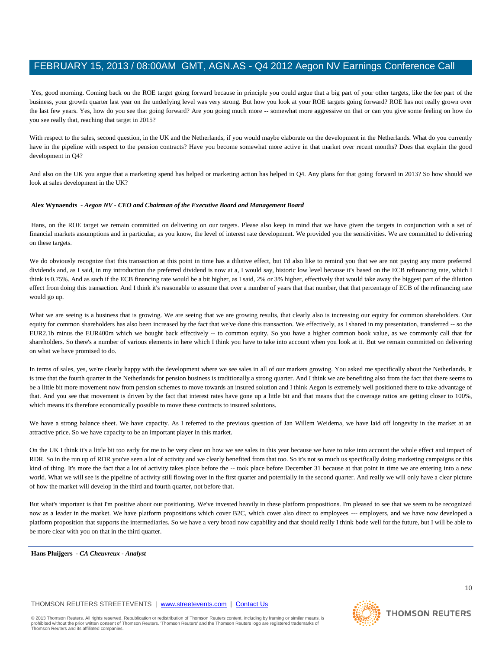Yes, good morning. Coming back on the ROE target going forward because in principle you could argue that a big part of your other targets, like the fee part of the business, your growth quarter last year on the underlying level was very strong. But how you look at your ROE targets going forward? ROE has not really grown over the last few years. Yes, how do you see that going forward? Are you going much more -- somewhat more aggressive on that or can you give some feeling on how do you see really that, reaching that target in 2015?

With respect to the sales, second question, in the UK and the Netherlands, if you would maybe elaborate on the development in the Netherlands. What do you currently have in the pipeline with respect to the pension contracts? Have you become somewhat more active in that market over recent months? Does that explain the good development in Q4?

And also on the UK you argue that a marketing spend has helped or marketing action has helped in Q4. Any plans for that going forward in 2013? So how should we look at sales development in the UK?

#### **Alex Wynaendts** *- Aegon NV - CEO and Chairman of the Executive Board and Management Board*

Hans, on the ROE target we remain committed on delivering on our targets. Please also keep in mind that we have given the targets in conjunction with a set of financial markets assumptions and in particular, as you know, the level of interest rate development. We provided you the sensitivities. We are committed to delivering on these targets.

We do obviously recognize that this transaction at this point in time has a dilutive effect, but I'd also like to remind you that we are not paying any more preferred dividends and, as I said, in my introduction the preferred dividend is now at a, I would say, historic low level because it's based on the ECB refinancing rate, which I think is 0.75%. And as such if the ECB financing rate would be a bit higher, as I said, 2% or 3% higher, effectively that would take away the biggest part of the dilution effect from doing this transaction. And I think it's reasonable to assume that over a number of years that that number, that that percentage of ECB of the refinancing rate would go up.

What we are seeing is a business that is growing. We are seeing that we are growing results, that clearly also is increasing our equity for common shareholders. Our equity for common shareholders has also been increased by the fact that we've done this transaction. We effectively, as I shared in my presentation, transferred -- so the EUR2.1b minus the EUR400m which we bought back effectively -- to common equity. So you have a higher common book value, as we commonly call that for shareholders. So there's a number of various elements in here which I think you have to take into account when you look at it. But we remain committed on delivering on what we have promised to do.

In terms of sales, yes, we're clearly happy with the development where we see sales in all of our markets growing. You asked me specifically about the Netherlands. It is true that the fourth quarter in the Netherlands for pension business is traditionally a strong quarter. And I think we are benefiting also from the fact that there seems to be a little bit more movement now from pension schemes to move towards an insured solution and I think Aegon is extremely well positioned there to take advantage of that. And you see that movement is driven by the fact that interest rates have gone up a little bit and that means that the coverage ratios are getting closer to 100%, which means it's therefore economically possible to move these contracts to insured solutions.

We have a strong balance sheet. We have capacity. As I referred to the previous question of Jan Willem Weidema, we have laid off longevity in the market at an attractive price. So we have capacity to be an important player in this market.

On the UK I think it's a little bit too early for me to be very clear on how we see sales in this year because we have to take into account the whole effect and impact of RDR. So in the run up of RDR you've seen a lot of activity and we clearly benefited from that too. So it's not so much us specifically doing marketing campaigns or this kind of thing. It's more the fact that a lot of activity takes place before the -- took place before December 31 because at that point in time we are entering into a new world. What we will see is the pipeline of activity still flowing over in the first quarter and potentially in the second quarter. And really we will only have a clear picture of how the market will develop in the third and fourth quarter, not before that.

But what's important is that I'm positive about our positioning. We've invested heavily in these platform propositions. I'm pleased to see that we seem to be recognized now as a leader in the market. We have platform propositions which cover B2C, which cover also direct to employees --- employers, and we have now developed a platform proposition that supports the intermediaries. So we have a very broad now capability and that should really I think bode well for the future, but I will be able to be more clear with you on that in the third quarter.

**Hans Pluijgers** *- CA Cheuvreux - Analyst* 

### THOMSON REUTERS STREETEVENTS | www.streetevents.com | Contact Us

© 2013 Thomson Reuters. All rights reserved. Republication or redistribution of Thomson Reuters content, including by framing or similar means, is prohibited without the prior written consent of Thomson Reuters. 'Thomson Reuters' and the Thomson Reuters logo are registered trademarks of Thomson Reuters and its affiliated companies.

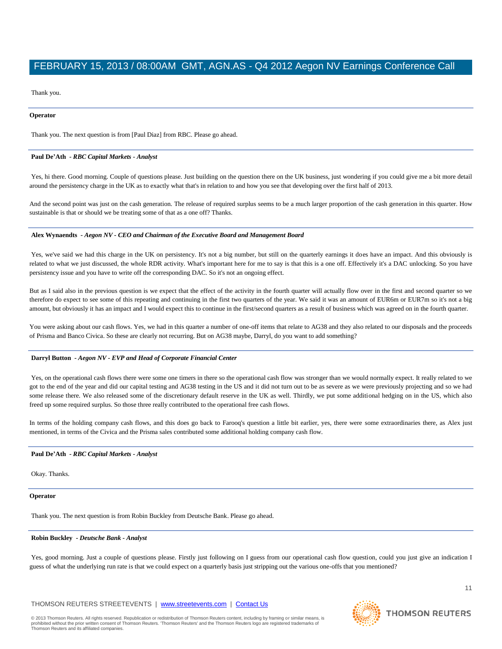Thank you.

#### **Operator**

Thank you. The next question is from [Paul Diaz] from RBC. Please go ahead.

#### **Paul De'Ath** *- RBC Capital Markets - Analyst*

Yes, hi there. Good morning. Couple of questions please. Just building on the question there on the UK business, just wondering if you could give me a bit more detail around the persistency charge in the UK as to exactly what that's in relation to and how you see that developing over the first half of 2013.

And the second point was just on the cash generation. The release of required surplus seems to be a much larger proportion of the cash generation in this quarter. How sustainable is that or should we be treating some of that as a one off? Thanks.

#### **Alex Wynaendts** *- Aegon NV - CEO and Chairman of the Executive Board and Management Board*

Yes, we've said we had this charge in the UK on persistency. It's not a big number, but still on the quarterly earnings it does have an impact. And this obviously is related to what we just discussed, the whole RDR activity. What's important here for me to say is that this is a one off. Effectively it's a DAC unlocking. So you have persistency issue and you have to write off the corresponding DAC. So it's not an ongoing effect.

But as I said also in the previous question is we expect that the effect of the activity in the fourth quarter will actually flow over in the first and second quarter so we therefore do expect to see some of this repeating and continuing in the first two quarters of the year. We said it was an amount of EUR6m or EUR7m so it's not a big amount, but obviously it has an impact and I would expect this to continue in the first/second quarters as a result of business which was agreed on in the fourth quarter.

You were asking about our cash flows. Yes, we had in this quarter a number of one-off items that relate to AG38 and they also related to our disposals and the proceeds of Prisma and Banco Civica. So these are clearly not recurring. But on AG38 maybe, Darryl, do you want to add something?

#### **Darryl Button** *- Aegon NV - EVP and Head of Corporate Financial Center*

Yes, on the operational cash flows there were some one timers in there so the operational cash flow was stronger than we would normally expect. It really related to we got to the end of the year and did our capital testing and AG38 testing in the US and it did not turn out to be as severe as we were previously projecting and so we had some release there. We also released some of the discretionary default reserve in the UK as well. Thirdly, we put some additional hedging on in the US, which also freed up some required surplus. So those three really contributed to the operational free cash flows.

In terms of the holding company cash flows, and this does go back to Farooq's question a little bit earlier, yes, there were some extraordinaries there, as Alex just mentioned, in terms of the Civica and the Prisma sales contributed some additional holding company cash flow.

#### **Paul De'Ath** *- RBC Capital Markets - Analyst*

Okay. Thanks.

#### **Operator**

Thank you. The next question is from Robin Buckley from Deutsche Bank. Please go ahead.

#### **Robin Buckley** *- Deutsche Bank - Analyst*

Yes, good morning. Just a couple of questions please. Firstly just following on I guess from our operational cash flow question, could you just give an indication I guess of what the underlying run rate is that we could expect on a quarterly basis just stripping out the various one-offs that you mentioned?

#### THOMSON REUTERS STREETEVENTS | www.streetevents.com | Contact Us

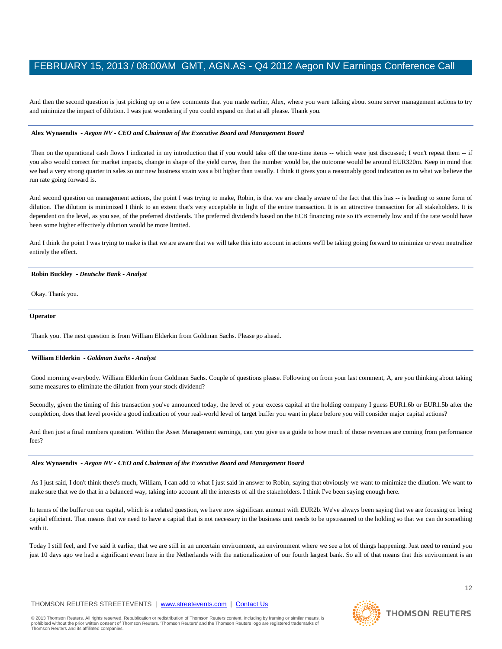And then the second question is just picking up on a few comments that you made earlier, Alex, where you were talking about some server management actions to try and minimize the impact of dilution. I was just wondering if you could expand on that at all please. Thank you.

#### **Alex Wynaendts** *- Aegon NV - CEO and Chairman of the Executive Board and Management Board*

Then on the operational cash flows I indicated in my introduction that if you would take off the one-time items -- which were just discussed; I won't repeat them -- if you also would correct for market impacts, change in shape of the yield curve, then the number would be, the outcome would be around EUR320m. Keep in mind that we had a very strong quarter in sales so our new business strain was a bit higher than usually. I think it gives you a reasonably good indication as to what we believe the run rate going forward is.

And second question on management actions, the point I was trying to make, Robin, is that we are clearly aware of the fact that this has -- is leading to some form of dilution. The dilution is minimized I think to an extent that's very acceptable in light of the entire transaction. It is an attractive transaction for all stakeholders. It is dependent on the level, as you see, of the preferred dividends. The preferred dividend's based on the ECB financing rate so it's extremely low and if the rate would have been some higher effectively dilution would be more limited.

And I think the point I was trying to make is that we are aware that we will take this into account in actions we'll be taking going forward to minimize or even neutralize entirely the effect.

#### **Robin Buckley** *- Deutsche Bank - Analyst*

Okay. Thank you.

#### **Operator**

Thank you. The next question is from William Elderkin from Goldman Sachs. Please go ahead.

#### **William Elderkin** *- Goldman Sachs - Analyst*

Good morning everybody. William Elderkin from Goldman Sachs. Couple of questions please. Following on from your last comment, A, are you thinking about taking some measures to eliminate the dilution from your stock dividend?

Secondly, given the timing of this transaction you've announced today, the level of your excess capital at the holding company I guess EUR1.6b or EUR1.5b after the completion, does that level provide a good indication of your real-world level of target buffer you want in place before you will consider major capital actions?

And then just a final numbers question. Within the Asset Management earnings, can you give us a guide to how much of those revenues are coming from performance fees?

#### **Alex Wynaendts** *- Aegon NV - CEO and Chairman of the Executive Board and Management Board*

As I just said, I don't think there's much, William, I can add to what I just said in answer to Robin, saying that obviously we want to minimize the dilution. We want to make sure that we do that in a balanced way, taking into account all the interests of all the stakeholders. I think I've been saying enough here.

In terms of the buffer on our capital, which is a related question, we have now significant amount with EUR2b. We've always been saying that we are focusing on being capital efficient. That means that we need to have a capital that is not necessary in the business unit needs to be upstreamed to the holding so that we can do something with it.

Today I still feel, and I've said it earlier, that we are still in an uncertain environment, an environment where we see a lot of things happening. Just need to remind you just 10 days ago we had a significant event here in the Netherlands with the nationalization of our fourth largest bank. So all of that means that this environment is an

### THOMSON REUTERS STREETEVENTS | www.streetevents.com | Contact Us

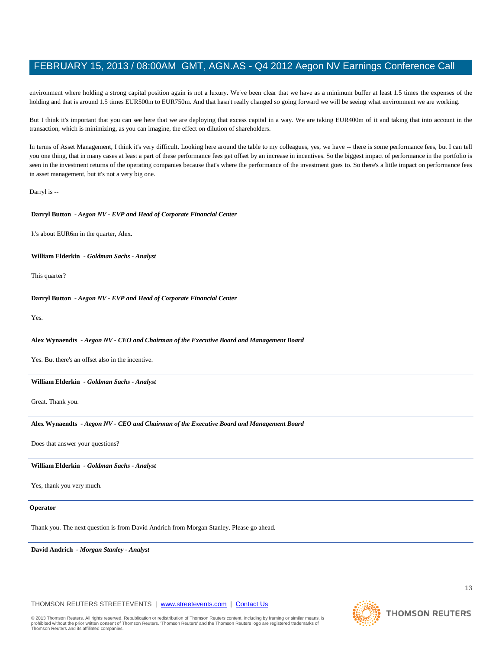environment where holding a strong capital position again is not a luxury. We've been clear that we have as a minimum buffer at least 1.5 times the expenses of the holding and that is around 1.5 times EUR500m to EUR750m. And that hasn't really changed so going forward we will be seeing what environment we are working.

But I think it's important that you can see here that we are deploying that excess capital in a way. We are taking EUR400m of it and taking that into account in the transaction, which is minimizing, as you can imagine, the effect on dilution of shareholders.

In terms of Asset Management, I think it's very difficult. Looking here around the table to my colleagues, yes, we have -- there is some performance fees, but I can tell you one thing, that in many cases at least a part of these performance fees get offset by an increase in incentives. So the biggest impact of performance in the portfolio is seen in the investment returns of the operating companies because that's where the performance of the investment goes to. So there's a little impact on performance fees in asset management, but it's not a very big one.

Darryl is --

#### **Darryl Button** *- Aegon NV - EVP and Head of Corporate Financial Center*

It's about EUR6m in the quarter, Alex.

### **William Elderkin** *- Goldman Sachs - Analyst*

This quarter?

#### **Darryl Button** *- Aegon NV - EVP and Head of Corporate Financial Center*

Yes.

#### **Alex Wynaendts** *- Aegon NV - CEO and Chairman of the Executive Board and Management Board*

Yes. But there's an offset also in the incentive.

#### **William Elderkin** *- Goldman Sachs - Analyst*

Great. Thank you.

#### **Alex Wynaendts** *- Aegon NV - CEO and Chairman of the Executive Board and Management Board*

Does that answer your questions?

#### **William Elderkin** *- Goldman Sachs - Analyst*

Yes, thank you very much.

### **Operator**

Thank you. The next question is from David Andrich from Morgan Stanley. Please go ahead.

**David Andrich** *- Morgan Stanley - Analyst* 

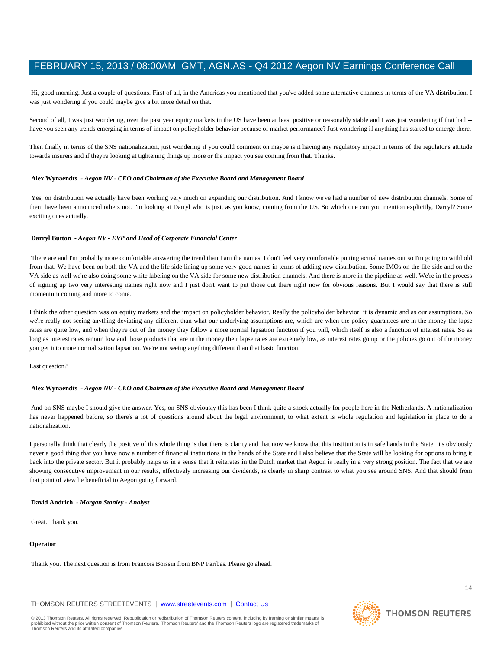Hi, good morning. Just a couple of questions. First of all, in the Americas you mentioned that you've added some alternative channels in terms of the VA distribution. I was just wondering if you could maybe give a bit more detail on that.

Second of all, I was just wondering, over the past year equity markets in the US have been at least positive or reasonably stable and I was just wondering if that had -have you seen any trends emerging in terms of impact on policyholder behavior because of market performance? Just wondering if anything has started to emerge there.

Then finally in terms of the SNS nationalization, just wondering if you could comment on maybe is it having any regulatory impact in terms of the regulator's attitude towards insurers and if they're looking at tightening things up more or the impact you see coming from that. Thanks.

#### **Alex Wynaendts** *- Aegon NV - CEO and Chairman of the Executive Board and Management Board*

Yes, on distribution we actually have been working very much on expanding our distribution. And I know we've had a number of new distribution channels. Some of them have been announced others not. I'm looking at Darryl who is just, as you know, coming from the US. So which one can you mention explicitly, Darryl? Some exciting ones actually.

#### **Darryl Button** *- Aegon NV - EVP and Head of Corporate Financial Center*

There are and I'm probably more comfortable answering the trend than I am the names. I don't feel very comfortable putting actual names out so I'm going to withhold from that. We have been on both the VA and the life side lining up some very good names in terms of adding new distribution. Some IMOs on the life side and on the VA side as well we're also doing some white labeling on the VA side for some new distribution channels. And there is more in the pipeline as well. We're in the process of signing up two very interesting names right now and I just don't want to put those out there right now for obvious reasons. But I would say that there is still momentum coming and more to come.

I think the other question was on equity markets and the impact on policyholder behavior. Really the policyholder behavior, it is dynamic and as our assumptions. So we're really not seeing anything deviating any different than what our underlying assumptions are, which are when the policy guarantees are in the money the lapse rates are quite low, and when they're out of the money they follow a more normal lapsation function if you will, which itself is also a function of interest rates. So as long as interest rates remain low and those products that are in the money their lapse rates are extremely low, as interest rates go up or the policies go out of the money you get into more normalization lapsation. We're not seeing anything different than that basic function.

Last question?

#### **Alex Wynaendts** *- Aegon NV - CEO and Chairman of the Executive Board and Management Board*

And on SNS maybe I should give the answer. Yes, on SNS obviously this has been I think quite a shock actually for people here in the Netherlands. A nationalization has never happened before, so there's a lot of questions around about the legal environment, to what extent is whole regulation and legislation in place to do a nationalization.

I personally think that clearly the positive of this whole thing is that there is clarity and that now we know that this institution is in safe hands in the State. It's obviously never a good thing that you have now a number of financial institutions in the hands of the State and I also believe that the State will be looking for options to bring it back into the private sector. But it probably helps us in a sense that it reiterates in the Dutch market that Aegon is really in a very strong position. The fact that we are showing consecutive improvement in our results, effectively increasing our dividends, is clearly in sharp contrast to what you see around SNS. And that should from that point of view be beneficial to Aegon going forward.

#### **David Andrich** *- Morgan Stanley - Analyst*

Great. Thank you.

#### **Operator**

Thank you. The next question is from Francois Boissin from BNP Paribas. Please go ahead.

THOMSON REUTERS STREETEVENTS | www.streetevents.com | Contact Us

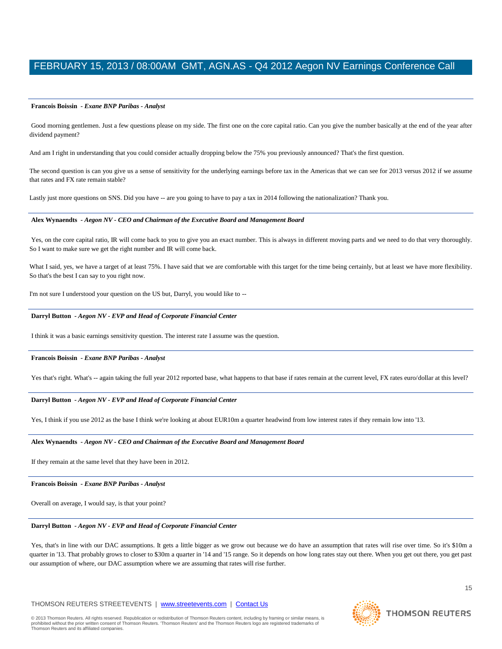#### **Francois Boissin** *- Exane BNP Paribas - Analyst*

Good morning gentlemen. Just a few questions please on my side. The first one on the core capital ratio. Can you give the number basically at the end of the year after dividend payment?

And am I right in understanding that you could consider actually dropping below the 75% you previously announced? That's the first question.

The second question is can you give us a sense of sensitivity for the underlying earnings before tax in the Americas that we can see for 2013 versus 2012 if we assume that rates and FX rate remain stable?

Lastly just more questions on SNS. Did you have -- are you going to have to pay a tax in 2014 following the nationalization? Thank you.

#### **Alex Wynaendts** *- Aegon NV - CEO and Chairman of the Executive Board and Management Board*

Yes, on the core capital ratio, IR will come back to you to give you an exact number. This is always in different moving parts and we need to do that very thoroughly. So I want to make sure we get the right number and IR will come back.

What I said, yes, we have a target of at least 75%. I have said that we are comfortable with this target for the time being certainly, but at least we have more flexibility. So that's the best I can say to you right now.

I'm not sure I understood your question on the US but, Darryl, you would like to --

#### **Darryl Button** *- Aegon NV - EVP and Head of Corporate Financial Center*

I think it was a basic earnings sensitivity question. The interest rate I assume was the question.

#### **Francois Boissin** *- Exane BNP Paribas - Analyst*

Yes that's right. What's -- again taking the full year 2012 reported base, what happens to that base if rates remain at the current level, FX rates euro/dollar at this level?

#### **Darryl Button** *- Aegon NV - EVP and Head of Corporate Financial Center*

Yes, I think if you use 2012 as the base I think we're looking at about EUR10m a quarter headwind from low interest rates if they remain low into '13.

#### **Alex Wynaendts** *- Aegon NV - CEO and Chairman of the Executive Board and Management Board*

If they remain at the same level that they have been in 2012.

#### **Francois Boissin** *- Exane BNP Paribas - Analyst*

Overall on average, I would say, is that your point?

#### **Darryl Button** *- Aegon NV - EVP and Head of Corporate Financial Center*

Yes, that's in line with our DAC assumptions. It gets a little bigger as we grow out because we do have an assumption that rates will rise over time. So it's \$10m a quarter in '13. That probably grows to closer to \$30m a quarter in '14 and '15 range. So it depends on how long rates stay out there. When you get out there, you get past our assumption of where, our DAC assumption where we are assuming that rates will rise further.

### THOMSON REUTERS STREETEVENTS | www.streetevents.com | Contact Us



15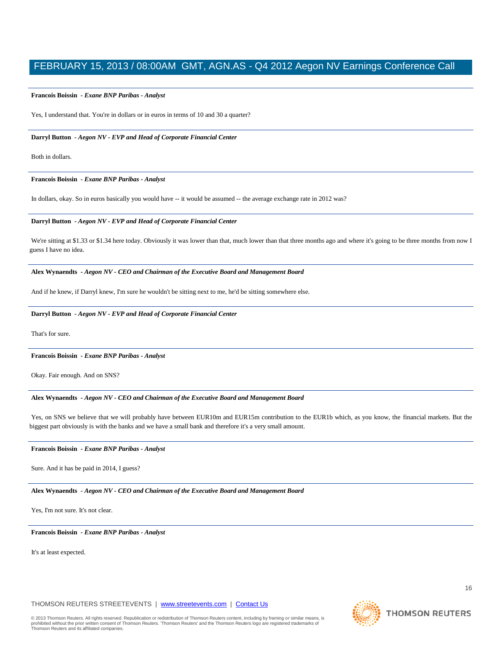#### **Francois Boissin** *- Exane BNP Paribas - Analyst*

Yes, I understand that. You're in dollars or in euros in terms of 10 and 30 a quarter?

#### **Darryl Button** *- Aegon NV - EVP and Head of Corporate Financial Center*

Both in dollars.

#### **Francois Boissin** *- Exane BNP Paribas - Analyst*

In dollars, okay. So in euros basically you would have -- it would be assumed -- the average exchange rate in 2012 was?

#### **Darryl Button** *- Aegon NV - EVP and Head of Corporate Financial Center*

We're sitting at \$1.33 or \$1.34 here today. Obviously it was lower than that, much lower than that three months ago and where it's going to be three months from now I guess I have no idea.

#### **Alex Wynaendts** *- Aegon NV - CEO and Chairman of the Executive Board and Management Board*

And if he knew, if Darryl knew, I'm sure he wouldn't be sitting next to me, he'd be sitting somewhere else.

#### **Darryl Button** *- Aegon NV - EVP and Head of Corporate Financial Center*

That's for sure.

#### **Francois Boissin** *- Exane BNP Paribas - Analyst*

Okay. Fair enough. And on SNS?

#### **Alex Wynaendts** *- Aegon NV - CEO and Chairman of the Executive Board and Management Board*

Yes, on SNS we believe that we will probably have between EUR10m and EUR15m contribution to the EUR1b which, as you know, the financial markets. But the biggest part obviously is with the banks and we have a small bank and therefore it's a very small amount.

#### **Francois Boissin** *- Exane BNP Paribas - Analyst*

Sure. And it has be paid in 2014, I guess?

#### **Alex Wynaendts** *- Aegon NV - CEO and Chairman of the Executive Board and Management Board*

Yes, I'm not sure. It's not clear.

#### **Francois Boissin** *- Exane BNP Paribas - Analyst*

It's at least expected.

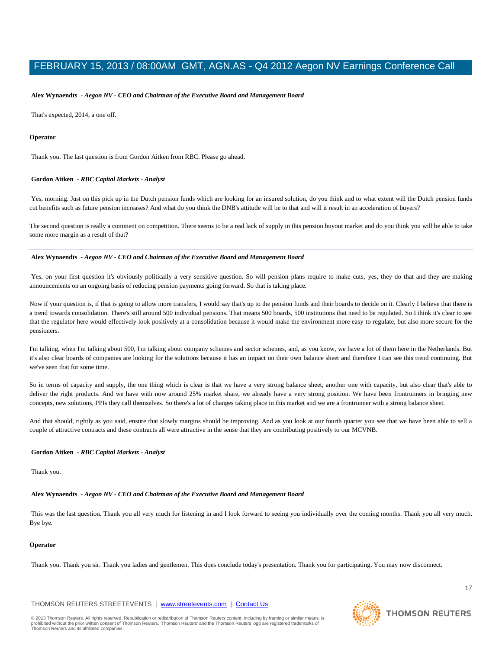#### **Alex Wynaendts** *- Aegon NV - CEO and Chairman of the Executive Board and Management Board*

That's expected, 2014, a one off.

#### **Operator**

Thank you. The last question is from Gordon Aitken from RBC. Please go ahead.

#### **Gordon Aitken** *- RBC Capital Markets - Analyst*

Yes, morning. Just on this pick up in the Dutch pension funds which are looking for an insured solution, do you think and to what extent will the Dutch pension funds cut benefits such as future pension increases? And what do you think the DNB's attitude will be to that and will it result in an acceleration of buyers?

The second question is really a comment on competition. There seems to be a real lack of supply in this pension buyout market and do you think you will be able to take some more margin as a result of that?

#### **Alex Wynaendts** *- Aegon NV - CEO and Chairman of the Executive Board and Management Board*

Yes, on your first question it's obviously politically a very sensitive question. So will pension plans require to make cuts, yes, they do that and they are making announcements on an ongoing basis of reducing pension payments going forward. So that is taking place.

Now if your question is, if that is going to allow more transfers, I would say that's up to the pension funds and their boards to decide on it. Clearly I believe that there is a trend towards consolidation. There's still around 500 individual pensions. That means 500 boards, 500 institutions that need to be regulated. So I think it's clear to see that the regulator here would effectively look positively at a consolidation because it would make the environment more easy to regulate, but also more secure for the pensioners.

I'm talking, when I'm talking about 500, I'm talking about company schemes and sector schemes, and, as you know, we have a lot of them here in the Netherlands. But it's also clear boards of companies are looking for the solutions because it has an impact on their own balance sheet and therefore I can see this trend continuing. But we've seen that for some time.

So in terms of capacity and supply, the one thing which is clear is that we have a very strong balance sheet, another one with capacity, but also clear that's able to deliver the right products. And we have with now around 25% market share, we already have a very strong position. We have been frontrunners in bringing new concepts, new solutions, PPIs they call themselves. So there's a lot of changes taking place in this market and we are a frontrunner with a strong balance sheet.

And that should, rightly as you said, ensure that slowly margins should be improving. And as you look at our fourth quarter you see that we have been able to sell a couple of attractive contracts and these contracts all were attractive in the sense that they are contributing positively to our MCVNB.

#### **Gordon Aitken** *- RBC Capital Markets - Analyst*

Thank you.

#### **Alex Wynaendts** *- Aegon NV - CEO and Chairman of the Executive Board and Management Board*

This was the last question. Thank you all very much for listening in and I look forward to seeing you individually over the coming months. Thank you all very much. Bye bye.

#### **Operator**

Thank you. Thank you sir. Thank you ladies and gentlemen. This does conclude today's presentation. Thank you for participating. You may now disconnect.

THOMSON REUTERS STREETEVENTS | www.streetevents.com | Contact Us